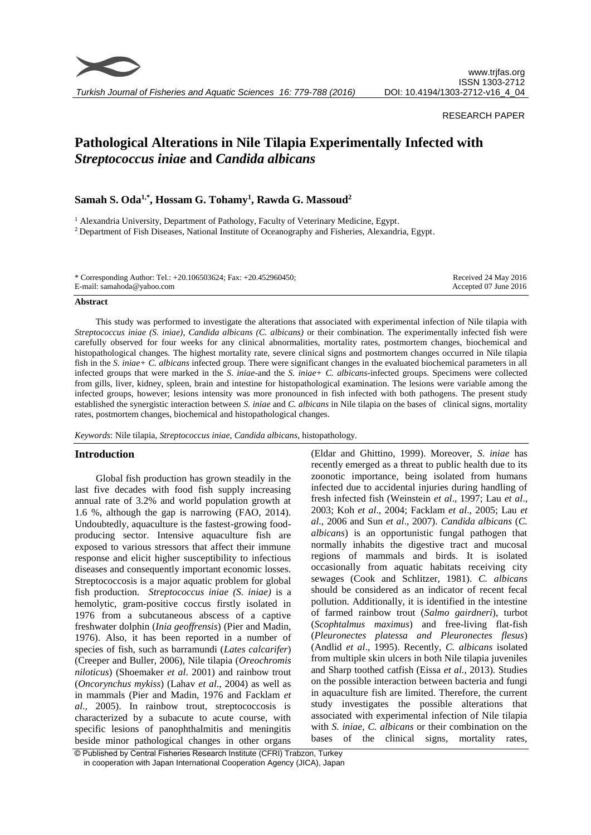

*Turkish Journal of Fisheries and Aquatic Sciences 16: 779-788 (2016)*

## RESEARCH PAPER

# **Pathological Alterations in Nile Tilapia Experimentally Infected with**  *Streptococcus iniae* **and** *Candida albicans*

# **Samah S. Oda1,\* , Hossam G. Tohamy<sup>1</sup> , Rawda G. Massoud<sup>2</sup>**

<sup>1</sup> Alexandria University, Department of Pathology, Faculty of Veterinary Medicine, Egypt. <sup>2</sup> Department of Fish Diseases, National Institute of Oceanography and Fisheries, Alexandria, Egypt.

| * Corresponding Author: Tel.: $+20.106503624$ ; Fax: $+20.452960450$ ; | Received 24 May 2016  |
|------------------------------------------------------------------------|-----------------------|
| E-mail: samahoda@yahoo.com                                             | Accepted 07 June 2016 |

#### **Abstract**

This study was performed to investigate the alterations that associated with experimental infection of Nile tilapia with *Streptococcus iniae (S. iniae)*, *Candida albicans (C. albicans)* or their combination. The experimentally infected fish were carefully observed for four weeks for any clinical abnormalities, mortality rates, postmortem changes, biochemical and histopathological changes. The highest mortality rate, severe clinical signs and postmortem changes occurred in Nile tilapia fish in the *S. iniae+ C. albicans* infected group. There were significant changes in the evaluated biochemical parameters in all infected groups that were marked in the *S. iniae*-and the *S. iniae+ C. albicans*-infected groups. Specimens were collected from gills, liver, kidney, spleen, brain and intestine for histopathological examination. The lesions were variable among the infected groups, however; lesions intensity was more pronounced in fish infected with both pathogens. The present study established the synergistic interaction between *S. iniae* and *C. albicans* in Nile tilapia on the bases of clinical signs, mortality rates, postmortem changes, biochemical and histopathological changes.

*Keywords*: Nile tilapia, *Streptococcus iniae*, *Candida albicans*, histopathology.

## **Introduction**

Global fish production has grown steadily in the last five decades with food fish supply increasing annual rate of 3.2% and world population growth at 1.6 %, although the gap is narrowing (FAO, 2014). Undoubtedly, aquaculture is the fastest-growing foodproducing sector. Intensive aquaculture fish are exposed to various stressors that affect their immune response and elicit higher susceptibility to infectious diseases and consequently important economic losses. Streptococcosis is a major aquatic problem for global fish production. *Streptococcus iniae (S. iniae)* is a hemolytic, gram-positive coccus firstly isolated in 1976 from a subcutaneous abscess of a captive freshwater dolphin (*Inia geoffrensis*) (Pier and Madin, 1976). Also, it has been reported in a number of species of fish, such as barramundi (*Lates calcarifer*) (Creeper and Buller, 2006), Nile tilapia (*Oreochromis niloticus*) (Shoemaker *et al*. 2001) and rainbow trout (*Oncorynchus mykiss*) (Lahav *et al*., 2004) as well as in mammals (Pier and Madin, 1976 and Facklam *et al*., 2005). In rainbow trout, streptococcosis is characterized by a subacute to acute course, with specific lesions of panophthalmitis and meningitis beside minor pathological changes in other organs

(Eldar and Ghittino, 1999). Moreover, *S. iniae* has recently emerged as a threat to public health due to its zoonotic importance, being isolated from humans infected due to accidental injuries during handling of fresh infected fish (Weinstein *et al*., 1997; Lau *et al*., 2003; Koh *et al*., 2004; Facklam *et al*., 2005; Lau *et al*., 2006 and Sun *et al*., 2007). *Candida albicans* (*C. albicans*) is an opportunistic fungal pathogen that normally inhabits the digestive tract and mucosal regions of mammals and birds. It is isolated occasionally from aquatic habitats receiving city sewages (Cook and Schlitzer, 1981). *C. albicans* should be considered as an indicator of recent fecal pollution. Additionally, it is identified in the intestine of farmed rainbow trout (*Salmo gairdneri*), turbot (*Scophtalmus maximus*) and free-living flat-fish (*Pleuronectes platessa and Pleuronectes flesus*) (Andlid *et al*., 1995). Recently, *C. albicans* isolated from multiple skin ulcers in both Nile tilapia juveniles and Sharp toothed catfish (Eissa *et al.*, 2013). Studies on the possible interaction between bacteria and fungi in aquaculture fish are limited. Therefore, the current study investigates the possible alterations that associated with experimental infection of Nile tilapia with *S. iniae*, *C. albicans* or their combination on the bases of the clinical signs, mortality rates,

<sup>©</sup> Published by Central Fisheries Research Institute (CFRI) Trabzon, Turkey in cooperation with Japan International Cooperation Agency (JICA), Japan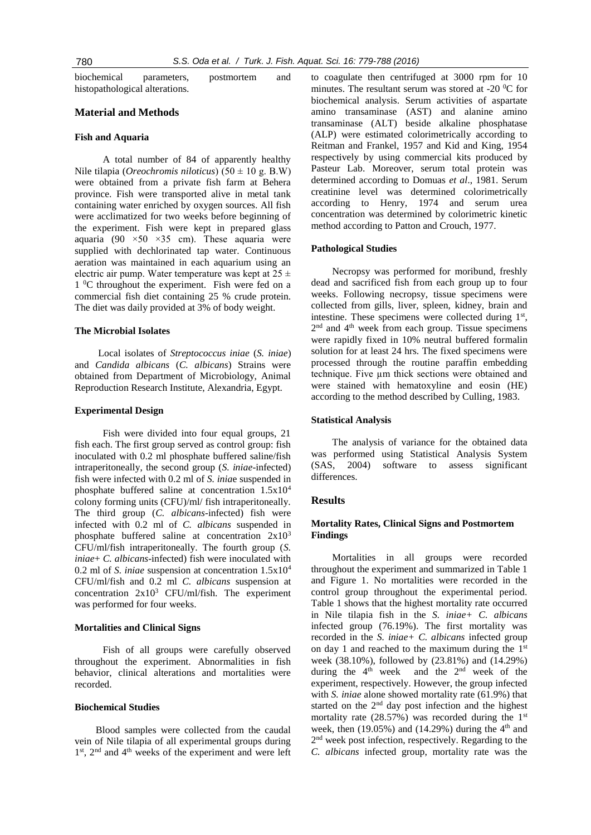| biochemical                    | parameters. | postmortem | and |
|--------------------------------|-------------|------------|-----|
| histopathological alterations. |             |            |     |

# **Material and Methods**

## **Fish and Aquaria**

A total number of 84 of apparently healthy Nile tilapia (*Oreochromis niloticus*) (50 ± 10 g. B.W) were obtained from a private fish farm at Behera province. Fish were transported alive in metal tank containing water enriched by oxygen sources. All fish were acclimatized for two weeks before beginning of the experiment. Fish were kept in prepared glass aquaria (90  $\times$ 50  $\times$ 35 cm). These aquaria were supplied with dechlorinated tap water. Continuous aeration was maintained in each aquarium using an electric air pump. Water temperature was kept at  $25 \pm$  $1 \,^0C$  throughout the experiment. Fish were fed on a commercial fish diet containing 25 % crude protein. The diet was daily provided at 3% of body weight.

## **The Microbial Isolates**

Local isolates of *Streptococcus iniae* (*S. iniae*) and *Candida albicans* (*C. albicans*) Strains were obtained from Department of Microbiology, Animal Reproduction Research Institute, Alexandria, Egypt.

#### **Experimental Design**

Fish were divided into four equal groups, 21 fish each. The first group served as control group: fish inoculated with 0.2 ml phosphate buffered saline/fish intraperitoneally, the second group (*S. iniae*-infected) fish were infected with 0.2 ml of *S. inia*e suspended in phosphate buffered saline at concentration 1.5x10<sup>4</sup> colony forming units (CFU)/ml/ fish intraperitoneally. The third group (*C. albicans-*infected) fish were infected with 0.2 ml of *C. albicans* suspended in phosphate buffered saline at concentration  $2x10^3$ CFU/ml/fish intraperitoneally. The fourth group (*S. iniae*+ *C. albicans*-infected) fish were inoculated with 0.2 ml of *S. iniae* suspension at concentration 1.5x10<sup>4</sup> CFU/ml/fish and 0.2 ml *C. albicans* suspension at concentration 2x10<sup>3</sup> CFU/ml/fish. The experiment was performed for four weeks.

#### **Mortalities and Clinical Signs**

Fish of all groups were carefully observed throughout the experiment. Abnormalities in fish behavior, clinical alterations and mortalities were recorded.

#### **Biochemical Studies**

Blood samples were collected from the caudal vein of Nile tilapia of all experimental groups during 1<sup>st</sup>, 2<sup>nd</sup> and 4<sup>th</sup> weeks of the experiment and were left to coagulate then centrifuged at 3000 rpm for 10 minutes. The resultant serum was stored at -20 $\mathrm{^{0}C}$  for biochemical analysis. Serum activities of aspartate amino transaminase (AST) and alanine amino transaminase (ALT) beside alkaline phosphatase (ALP) were estimated colorimetrically according to Reitman and Frankel, 1957 and Kid and King, 1954 respectively by using commercial kits produced by Pasteur Lab. Moreover, serum total protein was determined according to Domuas *et al*., 1981. Serum creatinine level was determined colorimetrically according to Henry, 1974 and serum urea concentration was determined by colorimetric kinetic method according to Patton and Crouch, 1977.

#### **Pathological Studies**

Necropsy was performed for moribund, freshly dead and sacrificed fish from each group up to four weeks. Following necropsy, tissue specimens were collected from gills, liver, spleen, kidney, brain and intestine. These specimens were collected during  $1<sup>st</sup>$ , 2<sup>nd</sup> and 4<sup>th</sup> week from each group. Tissue specimens were rapidly fixed in 10% neutral buffered formalin solution for at least 24 hrs. The fixed specimens were processed through the routine paraffin embedding technique. Five µm thick sections were obtained and were stained with hematoxyline and eosin (HE) according to the method described by Culling, 1983.

## **Statistical Analysis**

The analysis of variance for the obtained data was performed using Statistical Analysis System (SAS, 2004) software to assess significant differences.

#### **Results**

## **Mortality Rates, Clinical Signs and Postmortem Findings**

Mortalities in all groups were recorded throughout the experiment and summarized in Table 1 and Figure 1. No mortalities were recorded in the control group throughout the experimental period. Table 1 shows that the highest mortality rate occurred in Nile tilapia fish in the *S. iniae+ C. albicans* infected group (76.19%). The first mortality was recorded in the *S. iniae+ C. albicans* infected group on day 1 and reached to the maximum during the 1st week (38.10%), followed by (23.81%) and (14.29%) during the  $4<sup>th</sup>$  week and the  $2<sup>nd</sup>$  week of the experiment, respectively. However, the group infected with *S. iniae* alone showed mortality rate (61.9%) that started on the 2<sup>nd</sup> day post infection and the highest mortality rate  $(28.57%)$  was recorded during the 1<sup>st</sup> week, then  $(19.05\%)$  and  $(14.29\%)$  during the 4<sup>th</sup> and 2<sup>nd</sup> week post infection, respectively. Regarding to the *C. albicans* infected group, mortality rate was the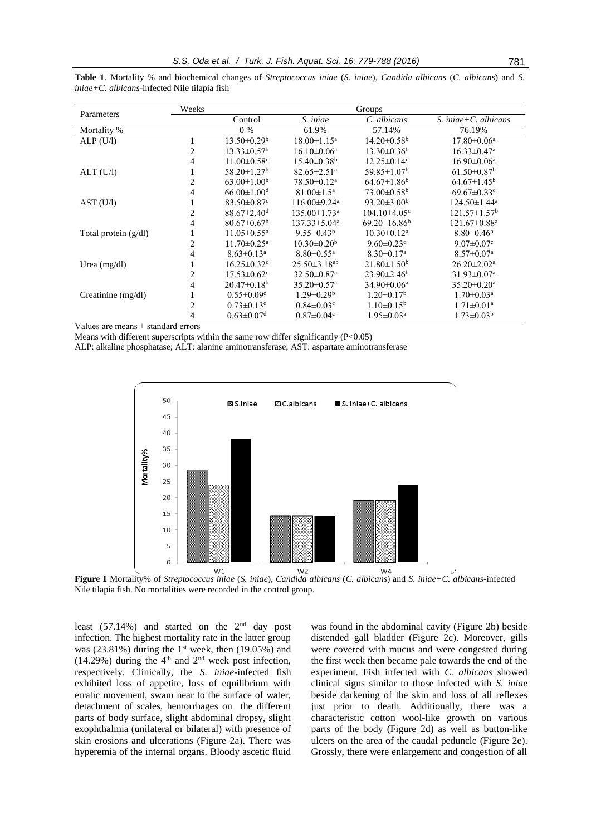| Parameters             | Weeks | Groups                        |                                |                               |                                |  |
|------------------------|-------|-------------------------------|--------------------------------|-------------------------------|--------------------------------|--|
|                        |       | Control                       | S. iniae                       | C. albicans                   | S. iniae + $C$ . albicans      |  |
| Mortality %            |       | $0\%$                         | 61.9%                          | 57.14%                        | 76.19%                         |  |
| ALP(U/I)               |       | $13.50 \pm 0.29^b$            | $18.00 \pm 1.15^a$             | $14.20 \pm 0.58$ <sup>b</sup> | $17.80 \pm 0.06^{\mathrm{a}}$  |  |
|                        | 2     | $13.33 \pm 0.57^{\rm b}$      | $16.10 \pm 0.06^a$             | $13.30\pm0.36^{\rm b}$        | $16.33 \pm 0.47$ <sup>a</sup>  |  |
|                        | 4     | $11.00 \pm 0.58$ <sup>c</sup> | $15.40\pm0.38^{\rm b}$         | $12.25 \pm 0.14$ <sup>c</sup> | $16.90 \pm 0.06^{\text{a}}$    |  |
| ALT (U/I)              |       | $58.20 \pm 1.27$ <sup>b</sup> | $82.65 \pm 2.51$ <sup>a</sup>  | $59.85 \pm 1.07^{\rm b}$      | $61.50 \pm 0.87$ <sup>b</sup>  |  |
|                        | 2     | $63.00 \pm 1.00^{\rm b}$      | $78.50 \pm 0.12$ <sup>a</sup>  | $64.67 \pm 1.86^b$            | $64.67 \pm 1.45^b$             |  |
|                        | 4     | $66.00 \pm 1.00$ <sup>d</sup> | $81.00 \pm 1.5^{\text{a}}$     | $73.00 \pm 0.58$ <sup>b</sup> | $69.67 \pm 0.33$ <sup>c</sup>  |  |
| AST (U/I)              |       | $83.50 \pm 0.87$ <sup>c</sup> | $116.00 \pm 9.24$ <sup>a</sup> | $93.20 \pm 3.00^{\rm b}$      | $124.50 \pm 1.44$ <sup>a</sup> |  |
|                        | 2     | $88.67 \pm 2.40$ <sup>d</sup> | $135.00 \pm 1.73$ <sup>a</sup> | $104.10\pm4.05^{\circ}$       | $121.57 \pm 1.57^b$            |  |
|                        | 4     | $80.67 \pm 0.67^{\rm b}$      | $137.33 \pm 5.04^{\mathrm{a}}$ | $69.20 \pm 16.86^b$           | $121.67 \pm 0.88$ <sup>a</sup> |  |
| Total protein $(g/dl)$ | T     | $11.05 \pm 0.55^{\text{a}}$   | $9.55 \pm 0.43^b$              | $10.30 \pm 0.12^a$            | $8.80 \pm 0.46^b$              |  |
|                        | 2     | $11.70 \pm 0.25$ <sup>a</sup> | $10.30 \pm 0.20^b$             | $9.60 \pm 0.23$ <sup>c</sup>  | $9.07 \pm 0.07$ <sup>c</sup>   |  |
|                        | 4     | $8.63 \pm 0.13^a$             | $8.80 \pm 0.55$ <sup>a</sup>   | $8.30 \pm 0.17$ <sup>a</sup>  | $8.57 \pm 0.07$ <sup>a</sup>   |  |
| Urea $(mg/dl)$         |       | $16.25 \pm 0.32$ <sup>c</sup> | $25.50 \pm 3.18$ <sup>ab</sup> | $21.80 \pm 1.50^b$            | $26.20 \pm 2.02^{\text{a}}$    |  |
|                        | 2     | $17.53 \pm 0.62$ <sup>c</sup> | 32.50±0.87 <sup>a</sup>        | $23.90 \pm 2.46^b$            | $31.93 \pm 0.07$ <sup>a</sup>  |  |
|                        | 4     | $20.47\pm0.18^{\rm b}$        | $35.20 \pm 0.57$ <sup>a</sup>  | $34.90 \pm 0.06^a$            | $35.20 \pm 0.20$ <sup>a</sup>  |  |
| Creatinine (mg/dl)     | 1     | $0.55 \pm 0.09$ <sup>c</sup>  | $1.29 \pm 0.29^b$              | $1.20 \pm 0.17^b$             | $1.70 \pm 0.03^{\text{a}}$     |  |
|                        | 2     | $0.73 \pm 0.13$ <sup>c</sup>  | $0.84 \pm 0.03$ <sup>c</sup>   | $1.10 \pm 0.15^{\rm b}$       | $1.71 \pm 0.01^a$              |  |
|                        | 4     | $0.63 \pm 0.07$ <sup>d</sup>  | $0.87 \pm 0.04$ c              | $1.95 \pm 0.03^{\text{a}}$    | $1.73 \pm 0.03^b$              |  |

**Table 1**. Mortality % and biochemical changes of *Streptococcus iniae* (*S. iniae*), *Candida albicans* (*C. albicans*) and *S. iniae+C. albicans*-infected Nile tilapia fish

Values are means ± standard errors

Means with different superscripts within the same row differ significantly  $(P<0.05)$ 

ALP: alkaline phosphatase; ALT: alanine aminotransferase; AST: aspartate aminotransferase



**Figure 1** Mortality% of *Streptococcus iniae* (*S. iniae*), *Candida albicans* (*C. albicans*) and *S. iniae+C. albicans*-infected Nile tilapia fish. No mortalities were recorded in the control group.

least  $(57.14\%)$  and started on the  $2<sup>nd</sup>$  day post infection. The highest mortality rate in the latter group was (23.81%) during the 1<sup>st</sup> week, then (19.05%) and  $(14.29%)$  during the 4<sup>th</sup> and 2<sup>nd</sup> week post infection, respectively. Clinically, the *S. iniae-*infected fish exhibited loss of appetite, loss of equilibrium with erratic movement, swam near to the surface of water, detachment of scales, hemorrhages on the different parts of body surface, slight abdominal dropsy, slight exophthalmia (unilateral or bilateral) with presence of skin erosions and ulcerations (Figure 2a). There was hyperemia of the internal organs. Bloody ascetic fluid

was found in the abdominal cavity (Figure 2b) beside distended gall bladder (Figure 2c). Moreover, gills were covered with mucus and were congested during the first week then became pale towards the end of the experiment. Fish infected with *C. albicans* showed clinical signs similar to those infected with *S. iniae*  beside darkening of the skin and loss of all reflexes just prior to death. Additionally, there was a characteristic cotton wool-like growth on various parts of the body (Figure 2d) as well as button-like ulcers on the area of the caudal peduncle (Figure 2e). Grossly, there were enlargement and congestion of all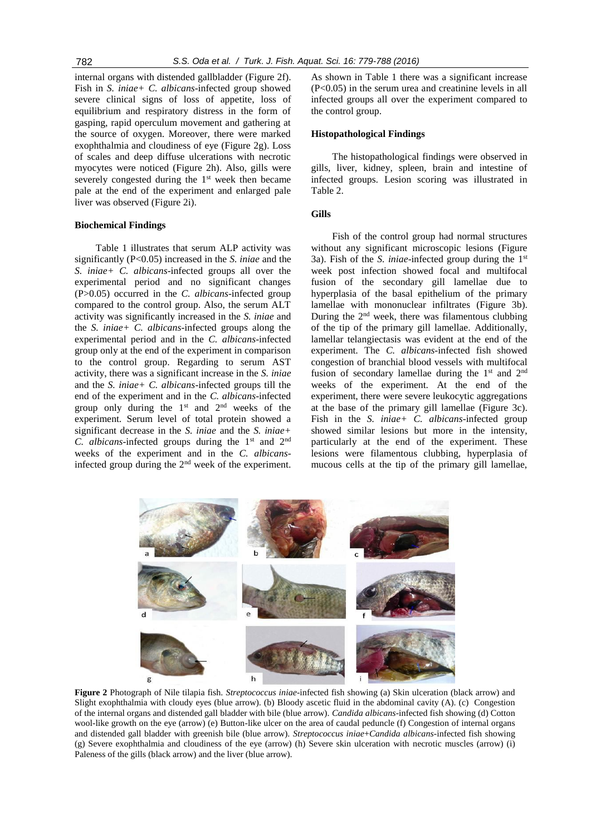internal organs with distended gallbladder (Figure 2f). Fish in *S. iniae+ C. albicans*-infected group showed severe clinical signs of loss of appetite, loss of equilibrium and respiratory distress in the form of gasping, rapid operculum movement and gathering at the source of oxygen. Moreover, there were marked exophthalmia and cloudiness of eye (Figure 2g). Loss of scales and deep diffuse ulcerations with necrotic myocytes were noticed (Figure 2h). Also, gills were severely congested during the  $1<sup>st</sup>$  week then became pale at the end of the experiment and enlarged pale liver was observed (Figure 2i).

### **Biochemical Findings**

Table 1 illustrates that serum ALP activity was significantly (P<0.05) increased in the *S. iniae* and the *S. iniae+ C. albicans*-infected groups all over the experimental period and no significant changes (P>0.05) occurred in the *C. albicans*-infected group compared to the control group. Also, the serum ALT activity was significantly increased in the *S. iniae* and the *S. iniae+ C. albicans*-infected groups along the experimental period and in the *C. albicans*-infected group only at the end of the experiment in comparison to the control group. Regarding to serum AST activity, there was a significant increase in the *S. iniae* and the *S. iniae+ C. albicans*-infected groups till the end of the experiment and in the *C. albicans*-infected group only during the  $1<sup>st</sup>$  and  $2<sup>nd</sup>$  weeks of the experiment. Serum level of total protein showed a significant decrease in the *S. iniae* and the *S. iniae+ C. albicans*-infected groups during the 1<sup>st</sup> and 2<sup>nd</sup> weeks of the experiment and in the *C. albicans*infected group during the 2nd week of the experiment. As shown in Table 1 there was a significant increase (P<0.05) in the serum urea and creatinine levels in all infected groups all over the experiment compared to the control group.

### **Histopathological Findings**

The histopathological findings were observed in gills, liver, kidney, spleen, brain and intestine of infected groups. Lesion scoring was illustrated in Table 2.

## **Gills**

Fish of the control group had normal structures without any significant microscopic lesions (Figure 3a). Fish of the *S. iniae*-infected group during the 1st week post infection showed focal and multifocal fusion of the secondary gill lamellae due to hyperplasia of the basal epithelium of the primary lamellae with mononuclear infiltrates (Figure 3b). During the  $2<sup>nd</sup>$  week, there was filamentous clubbing of the tip of the primary gill lamellae. Additionally, lamellar telangiectasis was evident at the end of the experiment. The *C. albicans*-infected fish showed congestion of branchial blood vessels with multifocal fusion of secondary lamellae during the  $1<sup>st</sup>$  and  $2<sup>nd</sup>$ weeks of the experiment. At the end of the experiment, there were severe leukocytic aggregations at the base of the primary gill lamellae (Figure 3c). Fish in the *S. iniae+ C. albicans*-infected group showed similar lesions but more in the intensity, particularly at the end of the experiment. These lesions were filamentous clubbing, hyperplasia of mucous cells at the tip of the primary gill lamellae,



**Figure 2** Photograph of Nile tilapia fish. *Streptococcus iniae*-infected fish showing (a) Skin ulceration (black arrow) and Slight exophthalmia with cloudy eyes (blue arrow). (b) Bloody ascetic fluid in the abdominal cavity (A). (c) Congestion of the internal organs and distended gall bladder with bile (blue arrow). *Candida albicans*-infected fish showing (d) Cotton wool-like growth on the eye (arrow) (e) Button-like ulcer on the area of caudal peduncle (f) Congestion of internal organs and distended gall bladder with greenish bile (blue arrow). *Streptococcus iniae*+*Candida albicans*-infected fish showing (g) Severe exophthalmia and cloudiness of the eye (arrow) (h) Severe skin ulceration with necrotic muscles (arrow) (i) Paleness of the gills (black arrow) and the liver (blue arrow).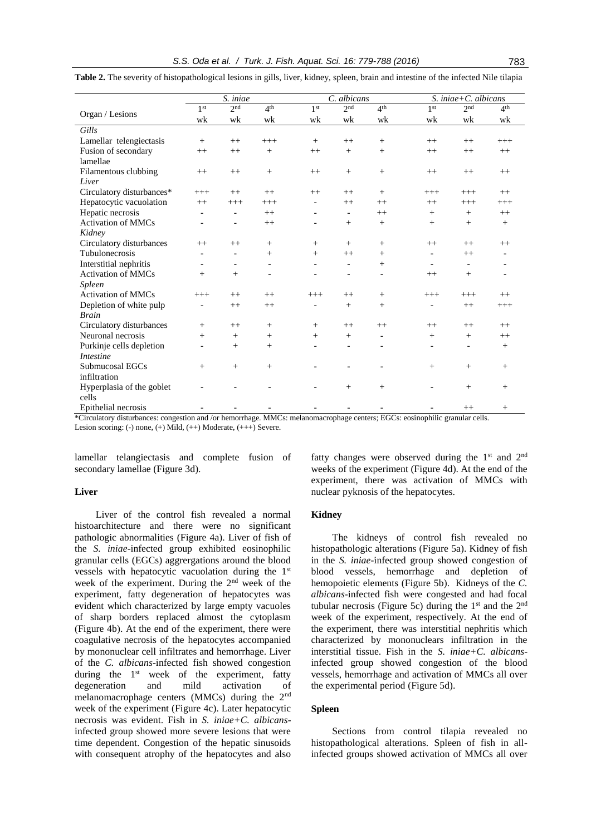|                                                   | S. iniae           |                                |                 | C. albicans     |                          |                 | S. iniae + $C$ . albicans |                          |                 |
|---------------------------------------------------|--------------------|--------------------------------|-----------------|-----------------|--------------------------|-----------------|---------------------------|--------------------------|-----------------|
|                                                   | 1 <sup>st</sup>    | 2 <sup>nd</sup>                | 4 <sup>th</sup> | 1 <sup>st</sup> | 2 <sup>nd</sup>          | 4 <sup>th</sup> | 1 <sup>st</sup>           | 2 <sup>nd</sup>          | 4 <sup>th</sup> |
| Organ / Lesions                                   | wk                 | wk                             | wk              | wk              | wk                       | wk              | wk                        | wk                       | wk              |
| Gills                                             |                    |                                |                 |                 |                          |                 |                           |                          |                 |
| Lamellar telengiectasis                           | $+$                | $^{++}$                        | $^{+++}$        | $^{+}$          | $++$                     | $^{+}$          | $++$                      | $++$                     | $+++$           |
| Fusion of secondary                               | $^{++}$            | $++$                           | $^{+}$          | $++$            | $^{+}$                   | $+$             | $++$                      | $^{++}$                  | $^{++}$         |
| lamellae                                          |                    |                                |                 |                 |                          |                 |                           |                          |                 |
| Filamentous clubbing                              | $++$               | $^{++}$                        | $^{+}$          | $^{++}$         | $^{+}$                   | $^{+}$          | $++$                      | $++$                     | $^{++}$         |
| Liver                                             |                    |                                |                 |                 |                          |                 |                           |                          |                 |
| Circulatory disturbances*                         | $+++$              | $^{++}$                        | $++$            | $++$            | $^{++}$                  | $^{+}$          | $^{+++}$                  | $+++$                    | $^{++}$         |
| Hepatocytic vacuolation                           | $++$               | $^{+++}$                       | $+++$           |                 | $++$                     | $++$            | $++$                      | $^{+++}$                 | $+++$           |
| Hepatic necrosis                                  |                    | $\overline{\phantom{a}}$       | $^{++}$         |                 | $\overline{\phantom{a}}$ | $++$            | $^{+}$                    | $^{+}$                   | $^{++}$         |
| <b>Activation of MMCs</b>                         |                    | $\overline{\phantom{0}}$       | $^{++}$         |                 | $^{+}$                   | $^{+}$          | $^{+}$                    | $^{+}$                   | $^{+}$          |
| Kidney                                            |                    |                                |                 |                 |                          |                 |                           |                          |                 |
| Circulatory disturbances                          | $++$               | $++$                           | $+$             | $^{+}$          | $^{+}$                   | $^{+}$          | $^{++}$                   | $++$                     | $^{++}$         |
| Tubulonecrosis                                    |                    |                                | $^{+}$          | $^{+}$          | $++$                     | $^{+}$          | $\overline{a}$            | $^{++}$                  |                 |
| Interstitial nephritis                            |                    | $\overline{\phantom{0}}$       |                 |                 | $\overline{\phantom{a}}$ | $^{+}$          | $\overline{\phantom{a}}$  | $\overline{a}$           |                 |
| <b>Activation of MMCs</b>                         | $^{+}$             | $^{+}$                         |                 |                 |                          |                 | $++$                      | $+$                      |                 |
| <b>Spleen</b>                                     |                    |                                |                 |                 |                          |                 |                           |                          |                 |
| <b>Activation of MMCs</b>                         | $+++$              | $++$                           | $++$            | $+++$           | $^{++}$                  | $^{+}$          | $+++$                     | $+++$                    | $^{++}$         |
| Depletion of white pulp                           |                    | $++$                           | $^{++}$         |                 | $+$                      | $^{+}$          |                           | $++$                     | $+++$           |
| <b>Brain</b>                                      |                    |                                |                 |                 |                          |                 |                           |                          |                 |
| Circulatory disturbances                          | $^{+}$             | $^{++}$                        | $^{+}$          | $^{+}$          | $++$                     | $++$            | $^{++}$                   | $^{++}$                  | $^{++}$         |
| Neuronal necrosis                                 | $+$                | $^{+}$                         | $^{+}$          | $^{+}$          | $+$                      |                 | $+$                       | $^{+}$                   | $^{++}$         |
| Purkinje cells depletion                          |                    | $^{+}$                         | $^{+}$          |                 | $\overline{a}$           |                 |                           | $\overline{\phantom{0}}$ | $+$             |
| <i>Intestine</i>                                  |                    |                                |                 |                 |                          |                 |                           |                          |                 |
| Submucosal EGCs                                   | $^{+}$             | $^{+}$                         | $+$             |                 |                          |                 | $+$                       | $^{+}$                   | $+$             |
| infiltration                                      |                    |                                |                 |                 |                          |                 |                           |                          |                 |
| Hyperplasia of the goblet                         |                    |                                |                 |                 | $+$                      | $^{+}$          |                           | $+$                      | $^{+}$          |
| cells                                             |                    |                                |                 |                 |                          |                 |                           |                          |                 |
| Epithelial necrosis<br>$200 - 11$<br>$\mathbf{1}$ | $\mathbf{r}$<br>1/ | $\blacksquare$<br>$\mathbf{1}$ | 3.035           | $\mathbf{1}$    | $\mathbf{1}$             | FAA             | 1.11                      | $^{++}$<br>11            | $^{+}$          |

**Table 2.** The severity of histopathological lesions in gills, liver, kidney, spleen, brain and intestine of the infected Nile tilapia

\*Circulatory disturbances: congestion and /or hemorrhage. MMCs: melanomacrophage centers; EGCs: eosinophilic granular cells. Lesion scoring: (-) none, (+) Mild, (++) Moderate, (+++) Severe.

lamellar telangiectasis and complete fusion of secondary lamellae (Figure 3d).

## **Liver**

Liver of the control fish revealed a normal histoarchitecture and there were no significant pathologic abnormalities (Figure 4a). Liver of fish of the *S. iniae*-infected group exhibited eosinophilic granular cells (EGCs) aggrergations around the blood vessels with hepatocytic vacuolation during the 1st week of the experiment. During the 2nd week of the experiment, fatty degeneration of hepatocytes was evident which characterized by large empty vacuoles of sharp borders replaced almost the cytoplasm (Figure 4b). At the end of the experiment, there were coagulative necrosis of the hepatocytes accompanied by mononuclear cell infiltrates and hemorrhage. Liver of the *C. albicans*-infected fish showed congestion during the  $1<sup>st</sup>$  week of the experiment, fatty degeneration and mild activation of melanomacrophage centers (MMCs) during the 2nd week of the experiment (Figure 4c). Later hepatocytic necrosis was evident. Fish in *S. iniae+C. albicans*infected group showed more severe lesions that were time dependent. Congestion of the hepatic sinusoids with consequent atrophy of the hepatocytes and also fatty changes were observed during the  $1<sup>st</sup>$  and  $2<sup>nd</sup>$ weeks of the experiment (Figure 4d). At the end of the experiment, there was activation of MMCs with nuclear pyknosis of the hepatocytes.

# **Kidney**

The kidneys of control fish revealed no histopathologic alterations (Figure 5a). Kidney of fish in the *S. iniae*-infected group showed congestion of blood vessels, hemorrhage and depletion of hemopoietic elements (Figure 5b). Kidneys of the *C. albicans*-infected fish were congested and had focal tubular necrosis (Figure 5c) during the  $1<sup>st</sup>$  and the  $2<sup>nd</sup>$ week of the experiment, respectively. At the end of the experiment, there was interstitial nephritis which characterized by mononuclears infiltration in the interstitial tissue. Fish in the *S. iniae+C. albicans*infected group showed congestion of the blood vessels, hemorrhage and activation of MMCs all over the experimental period (Figure 5d).

## **Spleen**

Sections from control tilapia revealed no histopathological alterations. Spleen of fish in allinfected groups showed activation of MMCs all over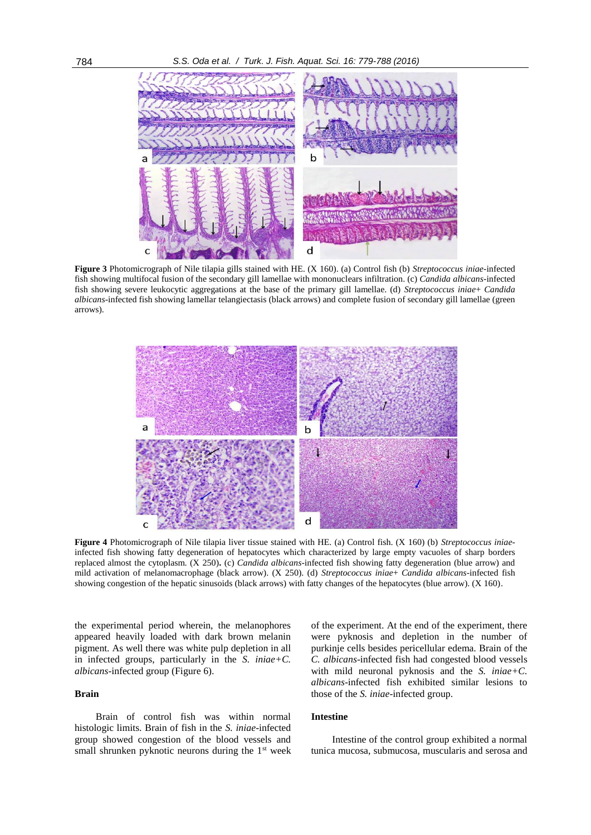

**Figure 3** Photomicrograph of Nile tilapia gills stained with HE. (X 160). (a) Control fish (b) *Streptococcus iniae*-infected fish showing multifocal fusion of the secondary gill lamellae with mononuclears infiltration. (c) *Candida albicans*-infected fish showing severe leukocytic aggregations at the base of the primary gill lamellae. (d) *Streptococcus iniae*+ *Candida albicans*-infected fish showing lamellar telangiectasis (black arrows) and complete fusion of secondary gill lamellae (green arrows).



**Figure 4** Photomicrograph of Nile tilapia liver tissue stained with HE. (a) Control fish. (X 160) (b) *Streptococcus iniae*infected fish showing fatty degeneration of hepatocytes which characterized by large empty vacuoles of sharp borders replaced almost the cytoplasm. (X 250)**.** (c) *Candida albicans*-infected fish showing fatty degeneration (blue arrow) and mild activation of melanomacrophage (black arrow). (X 250). (d) *Streptococcus iniae*+ *Candida albicans*-infected fish showing congestion of the hepatic sinusoids (black arrows) with fatty changes of the hepatocytes (blue arrow). (X 160).

the experimental period wherein, the melanophores appeared heavily loaded with dark brown melanin pigment. As well there was white pulp depletion in all in infected groups, particularly in the *S. iniae+C. albicans*-infected group (Figure 6).

#### **Brain**

Brain of control fish was within normal histologic limits. Brain of fish in the *S. iniae*-infected group showed congestion of the blood vessels and small shrunken pyknotic neurons during the  $1<sup>st</sup>$  week of the experiment. At the end of the experiment, there were pyknosis and depletion in the number of purkinje cells besides pericellular edema. Brain of the *C. albicans*-infected fish had congested blood vessels with mild neuronal pyknosis and the *S. iniae+C. albicans*-infected fish exhibited similar lesions to those of the *S. iniae*-infected group.

## **Intestine**

Intestine of the control group exhibited a normal tunica mucosa, submucosa, muscularis and serosa and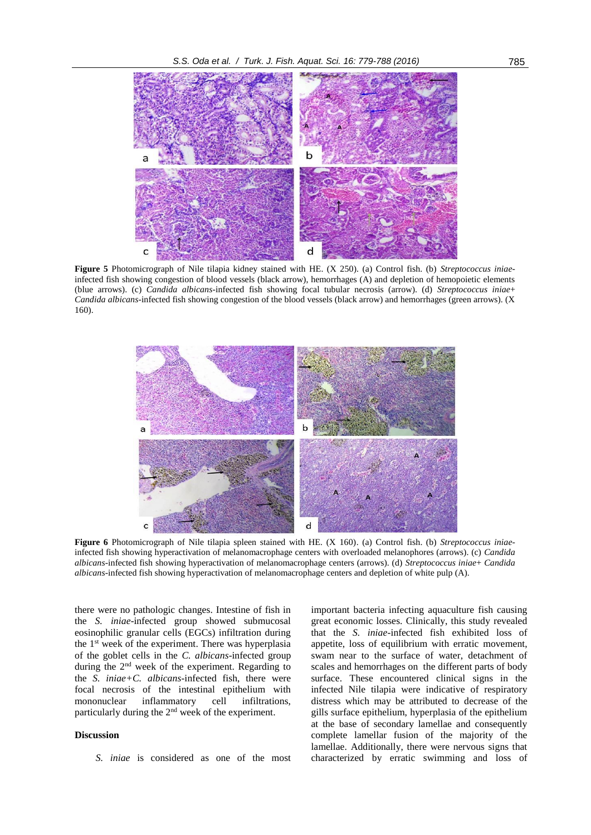

**Figure 5** Photomicrograph of Nile tilapia kidney stained with HE. (X 250). (a) Control fish. (b) *Streptococcus iniae*infected fish showing congestion of blood vessels (black arrow), hemorrhages (A) and depletion of hemopoietic elements (blue arrows). (c) *Candida albicans*-infected fish showing focal tubular necrosis (arrow). (d) *Streptococcus iniae*+ *Candida albicans*-infected fish showing congestion of the blood vessels (black arrow) and hemorrhages (green arrows). (X 160).



**Figure 6** Photomicrograph of Nile tilapia spleen stained with HE. (X 160). (a) Control fish. (b) *Streptococcus iniae*infected fish showing hyperactivation of melanomacrophage centers with overloaded melanophores (arrows). (c) *Candida albicans*-infected fish showing hyperactivation of melanomacrophage centers (arrows). (d) *Streptococcus iniae*+ *Candida albicans*-infected fish showing hyperactivation of melanomacrophage centers and depletion of white pulp (A).

there were no pathologic changes. Intestine of fish in the *S. iniae*-infected group showed submucosal eosinophilic granular cells (EGCs) infiltration during the 1<sup>st</sup> week of the experiment. There was hyperplasia of the goblet cells in the *C. albicans*-infected group during the 2nd week of the experiment. Regarding to the *S. iniae+C. albicans*-infected fish, there were focal necrosis of the intestinal epithelium with mononuclear inflammatory cell infiltrations, particularly during the 2nd week of the experiment.

## **Discussion**

*S. iniae* is considered as one of the most

important bacteria infecting aquaculture fish causing great economic losses. Clinically, this study revealed that the *S. iniae-*infected fish exhibited loss of appetite, loss of equilibrium with erratic movement, swam near to the surface of water, detachment of scales and hemorrhages on the different parts of body surface. These encountered clinical signs in the infected Nile tilapia were indicative of respiratory distress which may be attributed to decrease of the gills surface epithelium, hyperplasia of the epithelium at the base of secondary lamellae and consequently complete lamellar fusion of the majority of the lamellae. Additionally, there were nervous signs that characterized by erratic swimming and loss of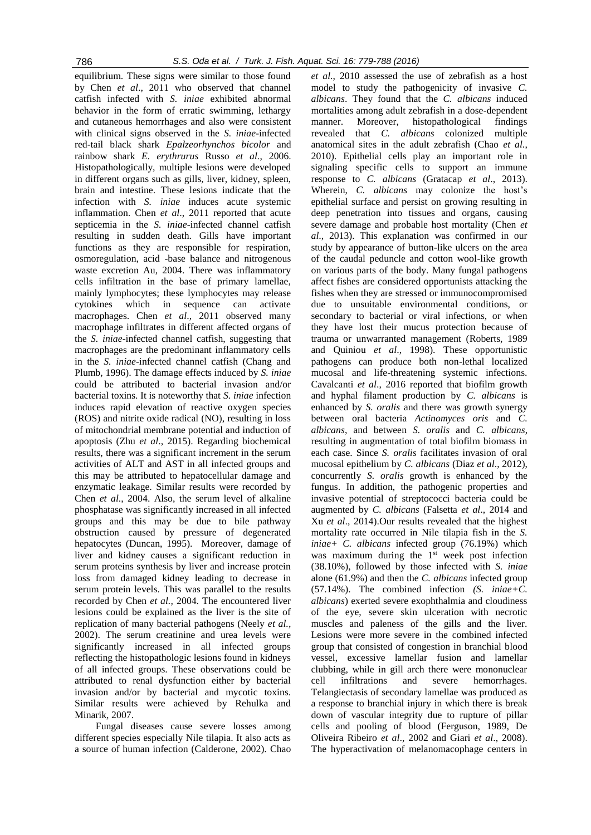equilibrium. These signs were similar to those found by Chen *et al*., 2011 who observed that channel catfish infected with *S. iniae* exhibited abnormal behavior in the form of erratic swimming, lethargy and cutaneous hemorrhages and also were consistent with clinical signs observed in the *S. iniae*-infected red-tail black shark *Epalzeorhynchos bicolor* and rainbow shark *E. erythrurus* Russo *et al.*, 2006. Histopathologically, multiple lesions were developed in different organs such as gills, liver, kidney, spleen, brain and intestine. These lesions indicate that the infection with *S. iniae* induces acute systemic inflammation. Chen *et al*., 2011 reported that acute septicemia in the *S. iniae*-infected channel catfish resulting in sudden death. Gills have important functions as they are responsible for respiration, osmoregulation, acid -base balance and nitrogenous waste excretion Au, 2004. There was inflammatory cells infiltration in the base of primary lamellae, mainly lymphocytes; these lymphocytes may release cytokines which in sequence can activate macrophages. Chen *et al*., 2011 observed many macrophage infiltrates in different affected organs of the *S. iniae*-infected channel catfish, suggesting that macrophages are the predominant inflammatory cells in the *S. iniae*-infected channel catfish (Chang and Plumb, 1996). The damage effects induced by *S. iniae* could be attributed to bacterial invasion and/or bacterial toxins. It is noteworthy that *S. iniae* infection induces rapid elevation of reactive oxygen species (ROS) and nitrite oxide radical (NO), resulting in loss of mitochondrial membrane potential and induction of apoptosis (Zhu *et al*., 2015). Regarding biochemical results, there was a significant increment in the serum activities of ALT and AST in all infected groups and this may be attributed to hepatocellular damage and enzymatic leakage. Similar results were recorded by Chen *et al*., 2004. Also, the serum level of alkaline phosphatase was significantly increased in all infected groups and this may be due to bile pathway obstruction caused by pressure of degenerated hepatocytes (Duncan, 1995). Moreover, damage of liver and kidney causes a significant reduction in serum proteins synthesis by liver and increase protein loss from damaged kidney leading to decrease in serum protein levels. This was parallel to the results recorded by Chen *et al.,* 2004. The encountered liver lesions could be explained as the liver is the site of replication of many bacterial pathogens (Neely *et al.,* 2002). The serum creatinine and urea levels were significantly increased in all infected groups reflecting the histopathologic lesions found in kidneys of all infected groups. These observations could be attributed to renal dysfunction either by bacterial invasion and/or by bacterial and mycotic toxins. Similar results were achieved by Rehulka and Minarik, 2007.

Fungal diseases cause severe losses among different species especially Nile tilapia. It also acts as a source of human infection (Calderone, 2002). Chao

*et al*., 2010 assessed the use of zebrafish as a host model to study the pathogenicity of invasive *C. albicans*. They found that the *C. albicans* induced mortalities among adult zebrafish in a dose-dependent manner. Moreover, histopathological findings revealed that *C. albicans* colonized multiple anatomical sites in the adult zebrafish (Chao *et al.*, 2010). Epithelial cells play an important role in signaling specific cells to support an immune response to *C. albicans* (Gratacap *et al*., 2013). Wherein, *C. albicans* may colonize the host's epithelial surface and persist on growing resulting in deep penetration into tissues and organs, causing severe damage and probable host mortality (Chen *et al*., 2013). This explanation was confirmed in our study by appearance of button-like ulcers on the area of the caudal peduncle and cotton wool-like growth on various parts of the body. Many fungal pathogens affect fishes are considered opportunists attacking the fishes when they are stressed or immunocompromised due to unsuitable environmental conditions, or secondary to bacterial or viral infections, or when they have lost their mucus protection because of trauma or unwarranted management (Roberts, 1989 and Quiniou *et al*., 1998). These opportunistic pathogens can produce both non-lethal localized mucosal and life-threatening systemic infections. Cavalcanti *et al*., 2016 reported that biofilm growth and hyphal filament production by *C. albicans* is enhanced by *S. oralis* and there was growth synergy between oral bacteria *Actinomyces oris* and *C. albicans*, and between *S. oralis* and *C. albicans*, resulting in augmentation of total biofilm biomass in each case. Since *S. oralis* facilitates invasion of oral mucosal epithelium by *C. albicans* (Diaz *et al*., 2012), concurrently *S. oralis* growth is enhanced by the fungus. In addition, the pathogenic properties and invasive potential of streptococci bacteria could be augmented by *C. albicans* (Falsetta *et al*., 2014 and Xu *et al*., 2014).Our results revealed that the highest mortality rate occurred in Nile tilapia fish in the *S. iniae+ C. albicans* infected group (76.19%) which was maximum during the  $1<sup>st</sup>$  week post infection (38.10%), followed by those infected with *S. iniae* alone (61.9%) and then the *C. albicans* infected group (57.14%). The combined infection *(S. iniae+C. albicans*) exerted severe exophthalmia and cloudiness of the eye, severe skin ulceration with necrotic muscles and paleness of the gills and the liver. Lesions were more severe in the combined infected group that consisted of congestion in branchial blood vessel, excessive lamellar fusion and lamellar clubbing, while in gill arch there were mononuclear cell infiltrations and severe hemorrhages. Telangiectasis of secondary lamellae was produced as a response to branchial injury in which there is break down of vascular integrity due to rupture of pillar cells and pooling of blood (Ferguson, 1989, De Oliveira Ribeiro *et al*., 2002 and Giari *et al*., 2008). The hyperactivation of melanomacophage centers in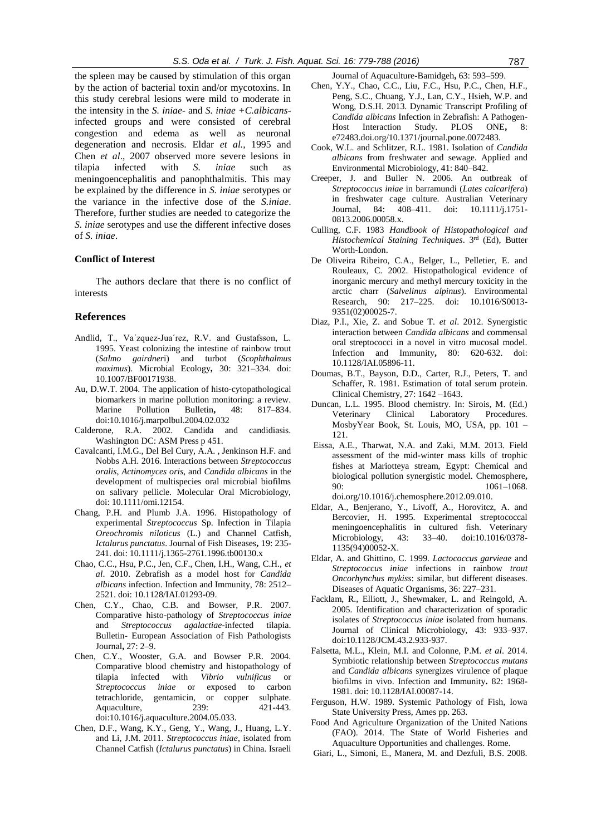the spleen may be caused by stimulation of this organ by the action of bacterial toxin and/or mycotoxins. In this study cerebral lesions were mild to moderate in the intensity in the *S. iniae*- and *S. iniae +C.albicans*infected groups and were consisted of cerebral congestion and edema as well as neuronal degeneration and necrosis. Eldar *et al.*, 1995 and Chen *et al*., 2007 observed more severe lesions in tilapia infected with *S. iniae* such as meningoencephalitis and panophthalmitis. This may be explained by the difference in *S. iniae* serotypes or the variance in the infective dose of the *S.iniae*. Therefore, further studies are needed to categorize the *S. iniae* serotypes and use the different infective doses of *S. iniae*.

#### **Conflict of Interest**

The authors declare that there is no conflict of interests

### **References**

- Andlid, T., Va´zquez-Jua´rez, R.V. and Gustafsson, L. 1995. Yeast colonizing the intestine of rainbow trout (*Salmo gairdner*i) and turbot (*Scophthalmus maximus*). Microbial Ecology**,** 30: 321–334. doi: 10.1007/BF00171938.
- Au, D.W.T. 2004. The application of histo-cytopathological biomarkers in marine pollution monitoring: a review. Marine Pollution Bulletin**,** 48: 817–834. doi:10.1016/j.marpolbul.2004.02.032
- Calderone, R.A. 2002. Candida and candidiasis. Washington DC: ASM Press p 451.
- Cavalcanti, I.M.G., Del Bel Cury, A.A. , Jenkinson H.F. and Nobbs A.H. 2016. Interactions between *Streptococcus oralis*, *Actinomyces oris*, and *Candida albicans* in the development of multispecies oral microbial biofilms on salivary pellicle. Molecular Oral Microbiology, doi: 10.1111/omi.12154.
- Chang, P.H. and Plumb J.A. 1996. Histopathology of experimental *Streptococcus* Sp. Infection in Tilapia *Oreochromis niloticus* (L.) and Channel Catfish*, Ictalurus punctatus*. Journal of Fish Diseases**,** 19: 235- 241. doi: 10.1111/j.1365-2761.1996.tb00130.x
- Chao, C.C., Hsu, P.C., Jen, C.F., Chen, I.H., Wang, C.H., *et al*. 2010. Zebrafish as a model host for *Candida albicans* infection. Infection and Immunity, 78: 2512– 2521. doi: 10.1128/IAI.01293-09.
- Chen, C.Y., Chao, C.B. and Bowser, P.R. 2007. Comparative histo-pathology of *Streptococcus iniae* and *Streptococcus agalactiae*-infected tilapia. Bulletin- European Association of Fish Pathologists Journal**,** 27: 2–9.
- Chen, C.Y., Wooster, G.A. and Bowser P.R. 2004. Comparative blood chemistry and histopathology of tilapia infected with *Vibrio vulnificus* or *Streptococcus iniae* or exposed to carbon tetrachloride, gentamicin, or copper sulphate. Aquaculture, 239: 421-443. doi:10.1016/j.aquaculture.2004.05.033.
- Chen, D.F., Wang, K.Y., Geng, Y., Wang, J., Huang, L.Y. and Li, J.M. 2011. *Streptococcus iniae*, isolated from Channel Catfish (*Ictalurus punctatus*) in China. Israeli

Journal of Aquaculture-Bamidgeh**,** 63: 593–599.

- Chen, Y.Y., Chao, C.C., Liu, F.C., Hsu, P.C., Chen, H.F., Peng, S.C., Chuang, Y.J., Lan, C.Y., Hsieh, W.P. and Wong, D.S.H. 2013. Dynamic Transcript Profiling of *Candida albicans* Infection in Zebrafish: A Pathogen-Host Interaction Study. PLOS ONE**,** 8: e72483.doi.org/10.1371/journal.pone.0072483.
- Cook, W.L. and Schlitzer, R.L. 1981. Isolation of *Candida albicans* from freshwater and sewage. Applied and Environmental Microbiology, 41: 840–842.
- Creeper, J. and Buller N. 2006. An outbreak of *Streptococcus iniae* in barramundi (*Lates calcarifera*) in freshwater cage culture. Australian Veterinary Journal, 84: 408–411. doi: 10.1111/j.1751- 0813.2006.00058.x.
- Culling, C.F. 1983 *Handbook of Histopathological and Histochemical Staining Techniques*. 3rd (Ed), Butter Worth-London.
- De Oliveira Ribeiro, C.A., Belger, L., Pelletier, E. and Rouleaux, C. 2002. Histopathological evidence of inorganic mercury and methyl mercury toxicity in the arctic charr (*Salvelinus alpinus*). Environmental Research, 90: 217–225. doi: 10.1016/S0013- 9351(02)00025-7.
- Diaz, P.I., Xie, Z. and Sobue T. *et al*. 2012. Synergistic interaction between *Candida albicans* and commensal oral streptococci in a novel in vitro mucosal model. Infection and Immunity**,** 80: 620-632. doi: 10.1128/IAI.05896-11.
- Doumas, B.T., Bayson, D.D., Carter, R.J., Peters, T. and Schaffer, R. 1981. Estimation of total serum protein. Clinical Chemistry, 27: 1642 –1643.
- Duncan, L.L. 1995. Blood chemistry. In: Sirois, M. (Ed.) Veterinary Clinical Laboratory Procedures. MosbyYear Book, St. Louis, MO, USA, pp. 101 – 121.
- Eissa, A.E., Tharwat, N.A. and Zaki, M.M. 2013. Field assessment of the mid-winter mass kills of trophic fishes at Mariotteya stream, Egypt: Chemical and biological pollution synergistic model. Chemosphere**,**  90: 1061–1068. doi.org/10.1016/j.chemosphere.2012.09.010.
- Eldar, A., Benjerano, Y., Livoff, A., Horovitcz, A. and Bercovier, H. 1995. Experimental streptococcal meningoencephalitis in cultured fish. Veterinary Microbiology, 43: 33–40. doi:10.1016/0378- 1135(94)00052-X.
- Eldar, A. and Ghittino, C. 1999. *Lactococcus garvieae* and *Streptococcus iniae* infections in rainbow *trout Oncorhynchus mykiss*: similar, but different diseases. Diseases of Aquatic Organisms, 36: 227–231.
- Facklam, R., Elliott, J., Shewmaker, L. and Reingold, A. 2005. Identification and characterization of sporadic isolates of *Streptococcus iniae* isolated from humans. Journal of Clinical Microbiology, 43: 933–937. doi:10.1128/JCM.43.2.933-937.
- Falsetta, M.L., Klein, M.I. and Colonne, P.M. *et al*. 2014. Symbiotic relationship between *Streptococcus mutans* and *Candida albicans* synergizes virulence of plaque biofilms in vivo. Infection and Immunity**.** 82: 1968- 1981. doi: 10.1128/IAI.00087-14.
- Ferguson, H.W. 1989. Systemic Pathology of Fish, Iowa State University Press, Ames pp. 263.
- Food And Agriculture Organization of the United Nations (FAO). 2014. The State of World Fisheries and Aquaculture Opportunities and challenges. Rome.
- Giari, L., Simoni, E., Manera, M. and Dezfuli, B.S. 2008.